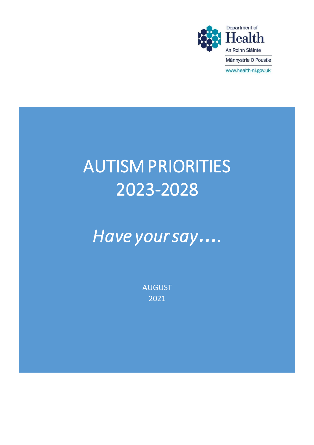

# AUTISM PRIORITIES 2023-2028

*Have your say….* 

AUGUST 2021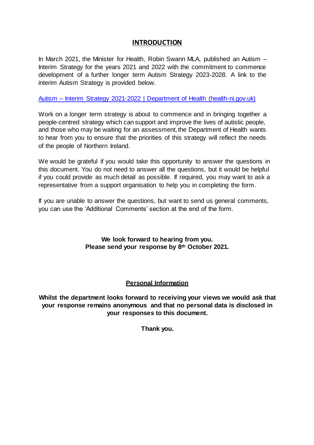## **INTRODUCTION**

In March 2021, the Minister for Health, Robin Swann MLA, published an Autism – Interim Strategy for the years 2021 and 2022 with the commitment to commence development of a further longer term Autism Strategy 2023-2028. A link to the interim Autism Strategy is provided below.

Autism – [Interim Strategy 2021-2022 | Department of Health \(health-ni.gov.uk\)](https://www.health-ni.gov.uk/publications/autism-interim-strategy-2021-2022)

Work on a longer term strategy is about to commence and in bringing together a people-centred strategy which can support and improve the lives of autistic people, and those who may be waiting for an assessment, the Department of Health wants to hear from you to ensure that the priorities of this strategy will reflect the needs of the people of Northern Ireland.

We would be grateful if you would take this opportunity to answer the questions in this document. You do not need to answer all the questions, but it would be helpful if you could provide as much detail as possible. If required, you may want to ask a representative from a support organisation to help you in completing the form.

If you are unable to answer the questions, but want to send us general comments, you can use the 'Additional Comments' section at the end of the form.

## **We look forward to hearing from you. Please send your response by 8th October 2021.**

## **Personal Information**

**Whilst the department looks forward to receiving your views we would ask that your response remains anonymous and that no personal data is disclosed in your responses to this document.**

**Thank you.**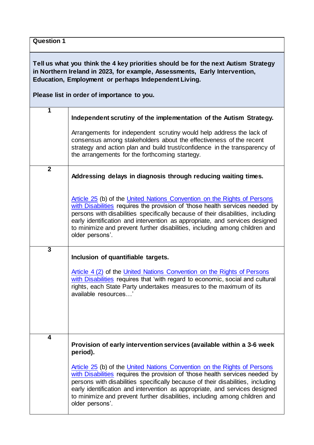| <b>Question 1</b>                                                                                                                                                                                                                                                      |                                                                                                                                                                                                                                                                                                                                                                                                                             |  |  |  |  |  |
|------------------------------------------------------------------------------------------------------------------------------------------------------------------------------------------------------------------------------------------------------------------------|-----------------------------------------------------------------------------------------------------------------------------------------------------------------------------------------------------------------------------------------------------------------------------------------------------------------------------------------------------------------------------------------------------------------------------|--|--|--|--|--|
| Tell us what you think the 4 key priorities should be for the next Autism Strategy<br>in Northern Ireland in 2023, for example, Assessments, Early Intervention,<br>Education, Employment or perhaps Independent Living.<br>Please list in order of importance to you. |                                                                                                                                                                                                                                                                                                                                                                                                                             |  |  |  |  |  |
| 1                                                                                                                                                                                                                                                                      | Independent scrutiny of the implementation of the Autism Strategy.                                                                                                                                                                                                                                                                                                                                                          |  |  |  |  |  |
|                                                                                                                                                                                                                                                                        | Arrangements for independent scrutiny would help address the lack of<br>consensus among stakeholders about the effectiveness of the recent<br>strategy and action plan and build trust/confidence in the transparency of<br>the arrangements for the forthcoming startegy.                                                                                                                                                  |  |  |  |  |  |
| $\boldsymbol{2}$                                                                                                                                                                                                                                                       | Addressing delays in diagnosis through reducing waiting times.                                                                                                                                                                                                                                                                                                                                                              |  |  |  |  |  |
|                                                                                                                                                                                                                                                                        | Article 25 (b) of the United Nations Convention on the Rights of Persons<br>with Disabilities requires the provision of 'those health services needed by<br>persons with disabilities specifically because of their disabilities, including<br>early identification and intervention as appropriate, and services designed<br>to minimize and prevent further disabilities, including among children and<br>older persons'. |  |  |  |  |  |
| $\overline{3}$                                                                                                                                                                                                                                                         | Inclusion of quantifiable targets.                                                                                                                                                                                                                                                                                                                                                                                          |  |  |  |  |  |
|                                                                                                                                                                                                                                                                        | Article 4 (2) of the United Nations Convention on the Rights of Persons<br>with Disabilities requires that 'with regard to economic, social and cultural<br>rights, each State Party undertakes measures to the maximum of its<br>available resources'                                                                                                                                                                      |  |  |  |  |  |
| 4                                                                                                                                                                                                                                                                      | Provision of early intervention services (available within a 3-6 week<br>period).                                                                                                                                                                                                                                                                                                                                           |  |  |  |  |  |
|                                                                                                                                                                                                                                                                        | Article 25 (b) of the United Nations Convention on the Rights of Persons<br>with Disabilities requires the provision of 'those health services needed by<br>persons with disabilities specifically because of their disabilities, including<br>early identification and intervention as appropriate, and services designed<br>to minimize and prevent further disabilities, including among children and<br>older persons'. |  |  |  |  |  |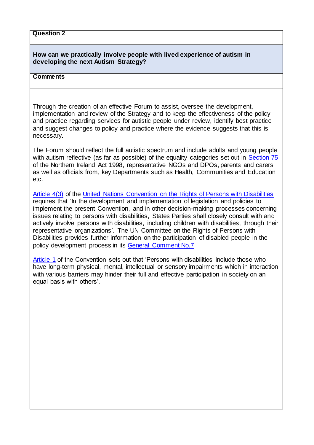#### **Question 2**

## **How can we practically involve people with lived experience of autism in developing the next Autism Strategy?**

## **Comments**

Through the creation of an effective Forum to assist, oversee the development, implementation and review of the Strategy and to keep the effectiveness of the policy and practice regarding services for autistic people under review, identify best practice and suggest changes to policy and practice where the evidence suggests that this is necessary.

The Forum should reflect the full autistic spectrum and include adults and young people with autism reflective (as far as possible) of the equality categories set out in [Section 75](https://www.legislation.gov.uk/ukpga/1998/47/section/75) of the Northern Ireland Act 1998, representative NGOs and DPOs, parents and carers as well as officials from, key Departments such as Health, Communities and Education etc.

[Article 4\(3\)](https://www.un.org/development/desa/disabilities/convention-on-the-rights-of-persons-with-disabilities/article-4-general-obligations.html) of the [United Nations Convention on the Rights of Persons with Disabilities](https://www.equalityni.org/ECNI/media/ECNI/Publications/Delivering%20Equality/UNCRPDOptionalProtocol.pdf?ext=.pdf) requires that 'In the development and implementation of legislation and policies to implement the present Convention, and in other decision-making processes concerning issues relating to persons with disabilities, States Parties shall closely consult with and actively involve persons with disabilities, including children with disabilities, through their representative organizations'. The UN Committee on the Rights of Persons with Disabilities provides further information on the participation of disabled people in the policy development process in its [General Comment No.7](http://docstore.ohchr.org/SelfServices/FilesHandler.ashx?enc=6QkG1d%2fPPRiCAqhKb7yhsnbHatvuFkZ%2bt93Y3D%2baa2pjFYzWLBu0vA%2bBr7QovZhbuyqzjDN0plweYI46WXrJJ6aB3Mx4y%2fspT%2bQrY5K2mKse5zjo%2bfvBDVu%2b42R9iK1p#:~:text=General%20comment%20No.%207%20%282018%29%20on%20the%20participation,the%20implementation%20and%20monitoring%20of%20the%20Convention%20%2A)

[Article 1](https://www.un.org/development/desa/disabilities/convention-on-the-rights-of-persons-with-disabilities/article-1-purpose.html) of the Convention sets out that 'Persons with disabilities include those who have long-term physical, mental, intellectual or sensory impairments which in interaction with various barriers may hinder their full and effective participation in society on an equal basis with others'.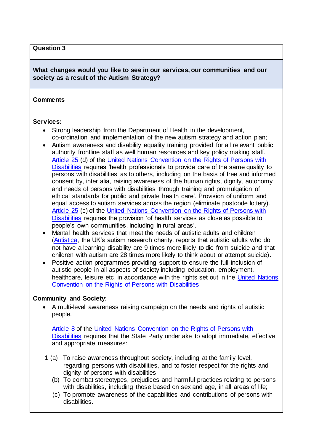#### **Question 3**

## **What changes would you like to see in our services, our communities and our society as a result of the Autism Strategy?**

## **Comments**

#### **Services:**

- Strong leadership from the Department of Health in the development, co-ordination and implementation of the new autism strategy and action plan;
- Autism awareness and disability equality training provided for all relevant public authority frontline staff as well human resources and key policy making staff. [Article 25](https://www.un.org/development/desa/disabilities/convention-on-the-rights-of-persons-with-disabilities/article-25-health.html) (d) of the [United Nations Convention on the Rights of Persons with](https://www.equalityni.org/ECNI/media/ECNI/Publications/Delivering%20Equality/UNCRPDOptionalProtocol.pdf?ext=.pdf)  [Disabilities](https://www.equalityni.org/ECNI/media/ECNI/Publications/Delivering%20Equality/UNCRPDOptionalProtocol.pdf?ext=.pdf) requires 'health professionals to provide care of the same quality to persons with disabilities as to others, including on the basis of free and informed consent by, inter alia, raising awareness of the human rights, dignity, autonomy and needs of persons with disabilities through training and promulgation of ethical standards for public and private health care'. Provision of uniform and equal access to autism services across the region (eliminate postcode lottery). [Article 25](https://www.un.org/development/desa/disabilities/convention-on-the-rights-of-persons-with-disabilities/article-25-health.html) (c) of the [United Nations Convention on the Rights of Persons with](https://www.equalityni.org/ECNI/media/ECNI/Publications/Delivering%20Equality/UNCRPDOptionalProtocol.pdf?ext=.pdf)  [Disabilities](https://www.equalityni.org/ECNI/media/ECNI/Publications/Delivering%20Equality/UNCRPDOptionalProtocol.pdf?ext=.pdf) requires the provision 'of health services as close as possible to people's own communities, including in rural areas'.
- Mental health services that meet the needs of autistic adults and children [\(Autistica,](https://www.autistica.org.uk/what-is-autism/signs-and-symptoms/suicide-and-autism) the UK's autism research charity, reports that autistic adults who do not have a learning disability are 9 times more likely to die from suicide and that children with autism are 28 times more likely to think about or attempt suicide).
- Positive action programmes providing support to ensure the full inclusion of autistic people in all aspects of society including education, employment, healthcare, leisure etc. in accordance with the rights set out in the United Nations [Convention on the Rights of Persons with Disabilities](https://www.equalityni.org/ECNI/media/ECNI/Publications/Delivering%20Equality/UNCRPDOptionalProtocol.pdf?ext=.pdf)

## **Community and Society:**

 A multi-level awareness raising campaign on the needs and rights of autistic people.

[Article 8](https://www.un.org/development/desa/disabilities/convention-on-the-rights-of-persons-with-disabilities/article-8-awareness-raising.html) of the [United Nations Convention on the Rights of Persons with](https://www.equalityni.org/ECNI/media/ECNI/Publications/Delivering%20Equality/UNCRPDOptionalProtocol.pdf?ext=.pdf)  [Disabilities](https://www.equalityni.org/ECNI/media/ECNI/Publications/Delivering%20Equality/UNCRPDOptionalProtocol.pdf?ext=.pdf) requires that the State Party undertake to adopt immediate, effective and appropriate measures:

- 1 (a) To raise awareness throughout society, including at the family level, regarding persons with disabilities, and to foster respect for the rights and dignity of persons with disabilities;
	- (b) To combat stereotypes, prejudices and harmful practices relating to persons with disabilities, including those based on sex and age, in all areas of life;
	- (c) To promote awareness of the capabilities and contributions of persons with disabilities.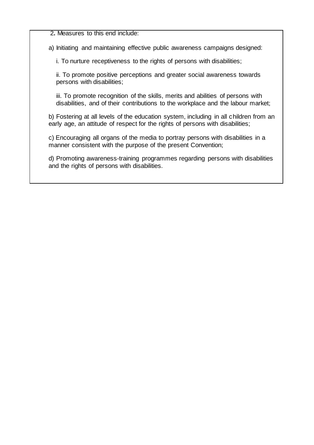2**.** Measures to this end include:

a) Initiating and maintaining effective public awareness campaigns designed:

i. To nurture receptiveness to the rights of persons with disabilities;

ii. To promote positive perceptions and greater social awareness towards persons with disabilities;

iii. To promote recognition of the skills, merits and abilities of persons with disabilities, and of their contributions to the workplace and the labour market;

b) Fostering at all levels of the education system, including in all children from an early age, an attitude of respect for the rights of persons with disabilities;

c) Encouraging all organs of the media to portray persons with disabilities in a manner consistent with the purpose of the present Convention;

d) Promoting awareness-training programmes regarding persons with disabilities and the rights of persons with disabilities.